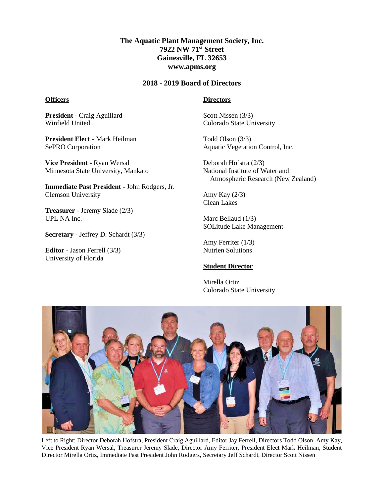# **The Aquatic Plant Management Society, Inc. 7922 NW 71st Street Gainesville, FL 32653 www.apms.org**

#### **2018 - 2019 Board of Directors**

#### **Officers**

**Directors**

**President** - Craig Aguillard Winfield United

**President Elect** - Mark Heilman SePRO Corporation

**Vice President** - Ryan Wersal Minnesota State University, Mankato

**Immediate Past President** - John Rodgers, Jr. Clemson University

**Treasurer** - Jeremy Slade (2/3) UPL NA Inc.

**Secretary** - Jeffrey D. Schardt (3/3)

**Editor** - Jason Ferrell (3/3) University of Florida

### Scott Nissen (3/3) Colorado State University

Todd Olson (3/3) Aquatic Vegetation Control, Inc.

Deborah Hofstra (2/3) National Institute of Water and Atmospheric Research (New Zealand)

Amy Kay (2/3) Clean Lakes

Marc Bellaud (1/3) SOLitude Lake Management

Amy Ferriter (1/3) Nutrien Solutions

## **Student Director**

Mirella Ortiz Colorado State University



Left to Right: Director Deborah Hofstra, President Craig Aguillard, Editor Jay Ferrell, Directors Todd Olson, Amy Kay, Vice President Ryan Wersal, Treasurer Jeremy Slade, Director Amy Ferriter, President Elect Mark Heilman, Student Director Mirella Ortiz, Immediate Past President John Rodgers, Secretary Jeff Schardt, Director Scott Nissen